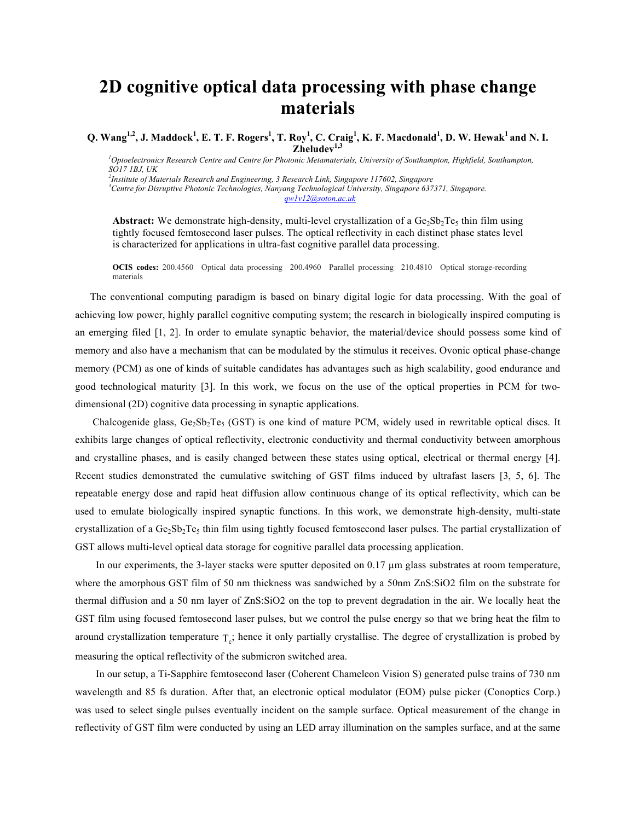## **2D cognitive optical data processing with phase change materials**

 $Q$ .  $\text{Wang}^{1,2}$ , J. Maddock<sup>1</sup>, E. T. F. Rogers<sup>1</sup>, T. Roy<sup>1</sup>, C. Craig<sup>1</sup>, K. F. Macdonald<sup>1</sup>, D. W. Hewak<sup>1</sup> and N. I. **Zheludev1,3**

<sup>1</sup> Optoelectronics Research Centre and Centre for Photonic Metamaterials, University of Southampton, Highfield, Southampton, *SO17 1BJ, UK*

*2 Institute of Materials Research and Engineering, 3 Research Link, Singapore 117602, Singapore 3 Centre for Disruptive Photonic Technologies, Nanyang Technological University, Singapore 637371, Singapore. qw1v12@soton.ac.uk*

**Abstract:** We demonstrate high-density, multi-level crystallization of a  $Ge_2Sb_2Te_5$  thin film using tightly focused femtosecond laser pulses. The optical reflectivity in each distinct phase states level is characterized for applications in ultra-fast cognitive parallel data processing.

**OCIS codes:** 200.4560 Optical data processing 200.4960 Parallel processing 210.4810 Optical storage-recording materials

The conventional computing paradigm is based on binary digital logic for data processing. With the goal of achieving low power, highly parallel cognitive computing system; the research in biologically inspired computing is an emerging filed [1, 2]. In order to emulate synaptic behavior, the material/device should possess some kind of memory and also have a mechanism that can be modulated by the stimulus it receives. Ovonic optical phase-change memory (PCM) as one of kinds of suitable candidates has advantages such as high scalability, good endurance and good technological maturity [3]. In this work, we focus on the use of the optical properties in PCM for twodimensional (2D) cognitive data processing in synaptic applications.

Chalcogenide glass,  $Ge_2Sb_2Te_5$  (GST) is one kind of mature PCM, widely used in rewritable optical discs. It exhibits large changes of optical reflectivity, electronic conductivity and thermal conductivity between amorphous and crystalline phases, and is easily changed between these states using optical, electrical or thermal energy [4]. Recent studies demonstrated the cumulative switching of GST films induced by ultrafast lasers [3, 5, 6]. The repeatable energy dose and rapid heat diffusion allow continuous change of its optical reflectivity, which can be used to emulate biologically inspired synaptic functions. In this work, we demonstrate high-density, multi-state crystallization of a  $Ge_2Sb_2Te_5$  thin film using tightly focused femtosecond laser pulses. The partial crystallization of GST allows multi-level optical data storage for cognitive parallel data processing application.

In our experiments, the 3-layer stacks were sputter deposited on 0.17  $\mu$ m glass substrates at room temperature, where the amorphous GST film of 50 nm thickness was sandwiched by a 50nm ZnS:SiO2 film on the substrate for thermal diffusion and a 50 nm layer of ZnS:SiO2 on the top to prevent degradation in the air. We locally heat the GST film using focused femtosecond laser pulses, but we control the pulse energy so that we bring heat the film to around crystallization temperature  $T_c$ ; hence it only partially crystallise. The degree of crystallization is probed by measuring the optical reflectivity of the submicron switched area.

 In our setup, a Ti-Sapphire femtosecond laser (Coherent Chameleon Vision S) generated pulse trains of 730 nm wavelength and 85 fs duration. After that, an electronic optical modulator (EOM) pulse picker (Conoptics Corp.) was used to select single pulses eventually incident on the sample surface. Optical measurement of the change in reflectivity of GST film were conducted by using an LED array illumination on the samples surface, and at the same